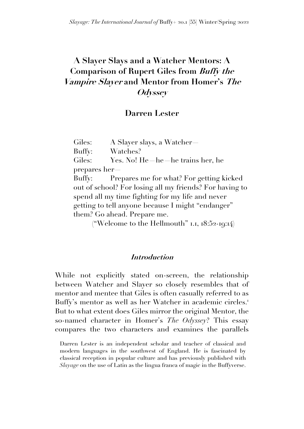# **A Slayer Slays and a Watcher Mentors: A Comparison of Rupert Giles from Buffy the Vampire Slayer and Mentor from Homer's The Odyssey**

## **Darren Lester**

Giles: A Slayer slays, a Watcher— Buffy: Watches? Giles: Yes. No! He—he—he trains her, he prepares her— Buffy: Prepares me for what? For getting kicked out of school? For losing all my friends? For having to spend all my time fighting for my life and never getting to tell anyone because I might "endanger" them? Go ahead. Prepare me.

("Welcome to the Hellmouth"  $I.I, I8:52-I9:14$ )

## **Introduction**

While not explicitly stated on-screen, the relationship between Watcher and Slayer so closely resembles that of mentor and mentee that Giles is often casually referred to as Buffy's mentor as well as her Watcher in academic circles. 1 But to what extent does Giles mirror the original Mentor, the so-named character in Homer's *The Odyssey*? This essay compares the two characters and examines the parallels

Darren Lester is an independent scholar and teacher of classical and modern languages in the southwest of England. He is fascinated by classical reception in popular culture and has previously published with *Slayage* on the use of Latin as the lingua franca of magic in the Buffyverse.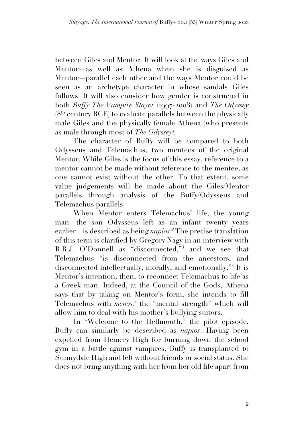between Giles and Mentor. It will look at the ways Giles and Mentor—as well as Athena when she is disguised as Mentor—parallel each other and the ways Mentor could be seen as an archetype character in whose sandals Giles follows. It will also consider how gender is constructed in both *Buffy The Vampire Slayer* (1997-2003) and *The Odyssey*   $(8<sup>th</sup>$  century BCE) to evaluate parallels between the physically male Giles and the physically female Athena (who presents as male through most of *The Odyssey).* 

The character of Buffy will be compared to both Odysseus and Telemachus, two mentees of the original Mentor. While Giles is the focus of this essay, reference to a mentor cannot be made without reference to the mentee, as one cannot exist without the other. To that extent, some value judgements will be made about the Giles/Mentor parallels through analysis of the Buffy/Odysseus and Telemachus parallels.

When Mentor enters Telemachus' life, the young man—the son Odysseus left as an infant twenty years earlier—is described as being *napios*.<sup>2</sup> The precise translation of this term is clarified by Gregory Nagy in an interview with B.R.J. O'Donnell as "disconnected,"<sup>3</sup> and we see that Telemachus "is disconnected from the ancestors, and disconnected intellectually, morally, and emotionally."<sup>4</sup> It is Mentor's intention, then, to reconnect Telemachus to life as a Greek man. Indeed, at the Council of the Gods, Athena says that by taking on Mentor's form, she intends to fill Telemachus with *menos*,<sup>5</sup> the "mental strength" which will allow him to deal with his mother's bullying suitors.

In "Welcome to the Hellmouth," the pilot episode, Buffy can similarly be described as *napios*. Having been expelled from Hemery High for burning down the school gym in a battle against vampires, Buffy is transplanted to Sunnydale High and left without friends or social status. She does not bring anything with her from her old life apart from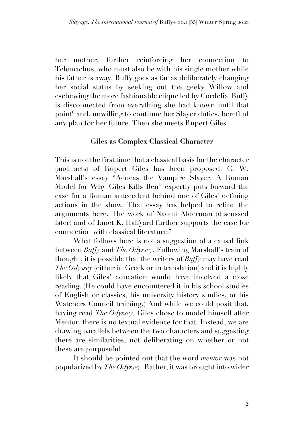her mother, further reinforcing her connection to Telemachus, who must also be with his single mother while his father is away. Buffy goes as far as deliberately changing her social status by seeking out the geeky Willow and eschewing the more fashionable clique led by Cordelia. Buffy is disconnected from everything she had known until that point<sup>6</sup> and, unwilling to continue her Slayer duties, bereft of any plan for her future. Then she meets Rupert Giles.

## **Giles as Complex Classical Character**

This is not the first time that a classical basis for the character (and acts) of Rupert Giles has been proposed. C. W. Marshall's essay "Aeneas the Vampire Slayer: A Roman Model for Why Giles Kills Ben" expertly puts forward the case for a Roman antecedent behind one of Giles' defining actions in the show. That essay has helped to refine the arguments here. The work of Naomi Alderman (discussed later) and of Janet K. Halfyard further supports the case for connection with classical literature.<sup>7</sup>

What follows here is not a suggestion of a causal link between *Buffy* and *The Odyssey.* Following Marshall's train of thought, it is possible that the writers of *Buffy* may have read *The Odyssey* (either in Greek or in translation) and it is highly likely that Giles' education would have involved a close reading. (He could have encountered it in his school studies of English or classics, his university history studies, or his Watchers Council training.) And while we could posit that, having read *The Odyssey,* Giles chose to model himself after Mentor, there is no textual evidence for that. Instead, we are drawing parallels between the two characters and suggesting there are similarities, not deliberating on whether or not these are purposeful.

It should be pointed out that the word *mentor* was not popularized by *The Odyssey.* Rather, it was brought into wider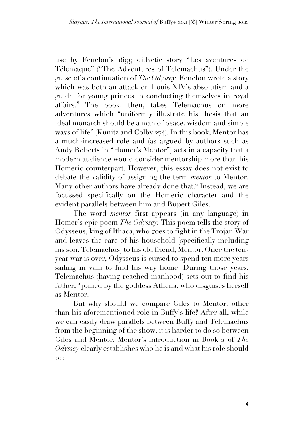use by Fenelon's 1699 didactic story "Les aventures de Télémaque" ("The Adventures of Telemachus"). Under the guise of a continuation of *The Odyssey,* Fenelon wrote a story which was both an attack on Louis XIV's absolutism and a guide for young princes in conducting themselves in royal affairs.<sup>8</sup> The book, then, takes Telemachus on more adventures which "uniformly illustrate his thesis that an ideal monarch should be a man of peace, wisdom and simple ways of life" (Kunitz and Colby 274). In this book, Mentor has a much-increased role and (as argued by authors such as Andy Roberts in "Homer's Mentor") acts in a capacity that a modern audience would consider mentorship more than his Homeric counterpart. However, this essay does not exist to debate the validity of assigning the term *mentor* to Mentor. Many other authors have already done that.<sup>9</sup> Instead, we are focussed specifically on the Homeric character and the evident parallels between him and Rupert Giles.

The word *mentor* first appears (in any language) in Homer's epic poem *The Odyssey.* This poem tells the story of Odysseus, king of Ithaca, who goes to fight in the Trojan War and leaves the care of his household (specifically including his son, Telemachus) to his old friend, Mentor. Once the tenyear war is over, Odysseus is cursed to spend ten more years sailing in vain to find his way home. During those years, Telemachus (having reached manhood) sets out to find his father,<sup>10</sup> joined by the goddess Athena, who disguises herself as Mentor.

But why should we compare Giles to Mentor, other than his aforementioned role in Buffy's life? After all, while we can easily draw parallels between Buffy and Telemachus from the beginning of the show, it is harder to do so between Giles and Mentor. Mentor's introduction in Book 2 of *The Odyssey* clearly establishes who he is and what his role should be: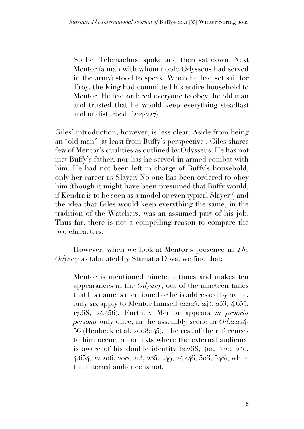So he [Telemachus] spoke and then sat down. Next Mentor (a man with whom noble Odysseus had served in the army) stood to speak. When he had set sail for Troy, the King had committed his entire household to Mentor. He had ordered everyone to obey the old man and trusted that he would keep everything steadfast and undisturbed.  $(224-227)$ 

Giles' introduction, however, is less clear. Aside from being an "old man" (at least from Buffy's perspective), Giles shares few of Mentor's qualities as outlined by Odysseus. He has not met Buffy's father, nor has he served in armed combat with him. He had not been left in charge of Buffy's household, only her career as Slayer. No one has been ordered to obey him (though it might have been presumed that Buffy would, if Kendra is to be seen as a model or even typical  $Slayer^m$ ) and the idea that Giles would keep everything the same, in the tradition of the Watchers, was an assumed part of his job. Thus far, there is not a compelling reason to compare the two characters.

However, when we look at Mentor's presence in *The Odyssey* as tabulated by Stamatia Dova, we find that:

Mentor is mentioned nineteen times and makes ten appearances in the *Odyssey*; out of the nineteen times that his name is mentioned or he is addressed by name, only six apply to Mentor himself (2.225, 243, 253, 4.655, 17.68, 24.456). Further, Mentor appears *in propria persona* only once, in the assembly scene in *Od*.2.224- 56 (Heubeck et al. 2008:145). The rest of the references to him occur in contexts where the external audience is aware of his double identity (2.268, 401, 3.22, 240, 4.654, 22.206, 208, 213, 235, 249, 24.446, 503, 548), while the internal audience is not.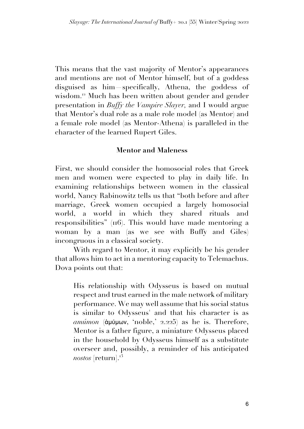This means that the vast majority of Mentor's appearances and mentions are not of Mentor himself, but of a goddess disguised as him—specifically, Athena, the goddess of wisdom.<sup>12</sup> Much has been written about gender and gender presentation in *Buffy the Vampire Slayer,* and I would argue that Mentor's dual role as a male role model (as Mentor) and a female role model (as Mentor-Athena) is paralleled in the character of the learned Rupert Giles.

## **Mentor and Maleness**

First, we should consider the homosocial roles that Greek men and women were expected to play in daily life. In examining relationships between women in the classical world, Nancy Rabinowitz tells us that "both before and after marriage, Greek women occupied a largely homosocial world, a world in which they shared rituals and responsibilities" (116). This would have made mentoring a woman by a man (as we see with Buffy and Giles) incongruous in a classical society.

With regard to Mentor, it may explicitly be his gender that allows him to act in a mentoring capacity to Telemachus. Dova points out that:

His relationship with Odysseus is based on mutual respect and trust earned in the male network of military performance. We may well assume that his social status is similar to Odysseus' and that his character is as *amúmon* (ἀμύμων, 'noble,' 2.225) as he is. Therefore, Mentor is a father figure, a miniature Odysseus placed in the household by Odysseus himself as a substitute overseer and, possibly, a reminder of his anticipated *nostos* [return]. 13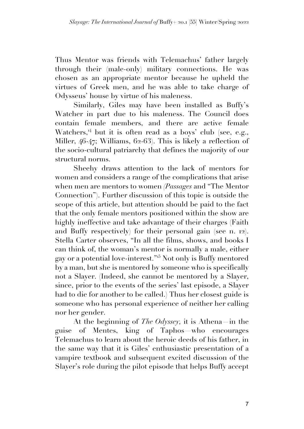Thus Mentor was friends with Telemachus' father largely through their (male-only) military connections. He was chosen as an appropriate mentor because he upheld the virtues of Greek men, and he was able to take charge of Odysseus' house by virtue of his maleness.

Similarly, Giles may have been installed as Buffy's Watcher in part due to his maleness. The Council does contain female members, and there are active female Watchers,<sup>14</sup> but it is often read as a boys' club (see, e.g., Miller, 46-47; Williams, 62-63). This is likely a reflection of the socio-cultural patriarchy that defines the majority of our structural norms.

Sheehy draws attention to the lack of mentors for women and considers a range of the complications that arise when men are mentors to women *(Passages* and "The Mentor Connection"). Further discussion of this topic is outside the scope of this article, but attention should be paid to the fact that the only female mentors positioned within the show are highly ineffective and take advantage of their charges (Faith and Buffy respectively) for their personal gain (see n. 12). Stella Carter observes, "In all the films, shows, and books I can think of, the woman's mentor is normally a male, either gay or a potential love-interest."<sup>15</sup> Not only is Buffy mentored by a man, but she is mentored by someone who is specifically not a Slayer. (Indeed, she cannot be mentored by a Slayer, since, prior to the events of the series' last episode, a Slayer had to die for another to be called.) Thus her closest guide is someone who has personal experience of neither her calling nor her gender.

At the beginning of *The Odyssey,* it is Athena—in the guise of Mentes, king of Taphos—who encourages Telemachus to learn about the heroic deeds of his father, in the same way that it is Giles' enthusiastic presentation of a vampire textbook and subsequent excited discussion of the Slayer's role during the pilot episode that helps Buffy accept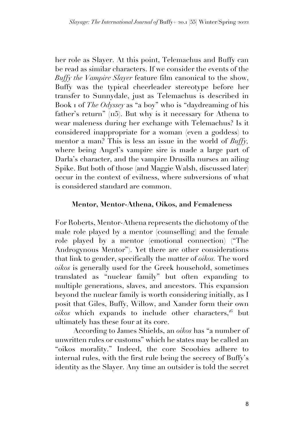her role as Slayer. At this point, Telemachus and Buffy can be read as similar characters. If we consider the events of the *Buffy the Vampire Slayer* feature film canonical to the show, Buffy was the typical cheerleader stereotype before her transfer to Sunnydale, just as Telemachus is described in Book 1 of *The Odyssey* as "a boy" who is "daydreaming of his father's return" ( $\overline{115}$ ). But why is it necessary for Athena to wear maleness during her exchange with Telemachus? Is it considered inappropriate for a woman (even a goddess) to mentor a man? This is less an issue in the world of *Buffy*, where being Angel's vampire sire is made a large part of Darla's character, and the vampire Drusilla nurses an ailing Spike. But both of those (and Maggie Walsh, discussed later) occur in the context of evilness, where subversions of what is considered standard are common.

## **Mentor, Mentor-Athena, Oikos, and Femaleness**

For Roberts, Mentor-Athena represents the dichotomy of the male role played by a mentor (counselling) and the female role played by a mentor (emotional connection) ("The Androgynous Mentor"). Yet there are other considerations that link to gender, specifically the matter of *oikos.* The word *oikos* is generally used for the Greek household, sometimes translated as "nuclear family" but often expanding to multiple generations, slaves, and ancestors. This expansion beyond the nuclear family is worth considering initially, as I posit that Giles, Buffy, Willow, and Xander form their own  $oikos$  which expands to include other characters,<sup>16</sup> but ultimately has these four at its core.

According to James Shields, an *oikos* has "a number of unwritten rules or customs" which he states may be called an "oikos morality." Indeed, the core Scoobies adhere to internal rules, with the first rule being the secrecy of Buffy's identity as the Slayer. Any time an outsider is told the secret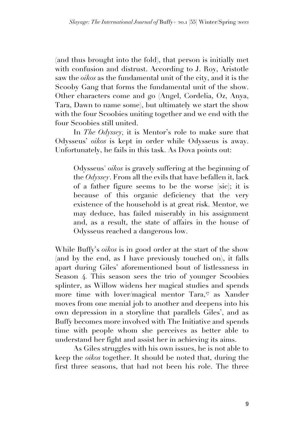(and thus brought into the fold), that person is initially met with confusion and distrust. According to J. Roy, Aristotle saw the *oikos* as the fundamental unit of the city, and it is the Scooby Gang that forms the fundamental unit of the show. Other characters come and go (Angel, Cordelia, Oz, Anya, Tara, Dawn to name some), but ultimately we start the show with the four Scoobies uniting together and we end with the four Scoobies still united.

In *The Odyssey,* it is Mentor's role to make sure that Odysseus' *oikos* is kept in order while Odysseus is away. Unfortunately, he fails in this task. As Dova points out:

Odysseus' *oikos* is gravely suffering at the beginning of the *Odyssey*. From all the evils that have befallen it, lack of a father figure seems to be the worse [sic]; it is because of this organic deficiency that the very existence of the household is at great risk. Mentor, we may deduce, has failed miserably in his assignment and, as a result, the state of affairs in the house of Odysseus reached a dangerous low.

While Buffy's *oikos* is in good order at the start of the show (and by the end, as I have previously touched on), it falls apart during Giles' aforementioned bout of listlessness in Season 4. This season sees the trio of younger Scoobies splinter, as Willow widens her magical studies and spends more time with lover/magical mentor Tara,<sup>17</sup> as Xander moves from one menial job to another and deepens into his own depression in a storyline that parallels Giles', and as Buffy becomes more involved with The Initiative and spends time with people whom she perceives as better able to understand her fight and assist her in achieving its aims.

As Giles struggles with his own issues, he is not able to keep the *oikos* together. It should be noted that, during the first three seasons, that had not been his role. The three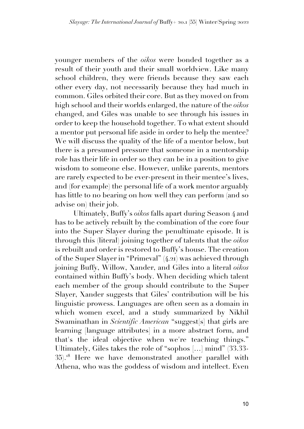younger members of the *oikos* were bonded together as a result of their youth and their small worldview. Like many school children, they were friends because they saw each other every day, not necessarily because they had much in common. Giles orbited their core. But as they moved on from high school and their worlds enlarged, the nature of the *oikos*  changed, and Giles was unable to see through his issues in order to keep the household together. To what extent should a mentor put personal life aside in order to help the mentee? We will discuss the quality of the life of a mentor below, but there is a presumed pressure that someone in a mentorship role has their life in order so they can be in a position to give wisdom to someone else. However, unlike parents, mentors are rarely expected to be ever-present in their mentee's lives, and (for example) the personal life of a work mentor arguably has little to no bearing on how well they can perform (and so advise on) their job.

Ultimately, Buffy's *oikos* falls apart during Season 4 and has to be actively rebuilt by the combination of the core four into the Super Slayer during the penultimate episode. It is through this (literal) joining together of talents that the *oikos*  is rebuilt and order is restored to Buffy's house. The creation of the Super Slayer in "Primeval" (4.21) was achieved through joining Buffy, Willow, Xander, and Giles into a literal *oikos*  contained within Buffy's body. When deciding which talent each member of the group should contribute to the Super Slayer, Xander suggests that Giles' contribution will be his linguistic prowess. Languages are often seen as a domain in which women excel, and a study summarized by Nikhil Swaminathan in *Scientific American* "suggest[s] that girls are learning [language attributes] in a more abstract form, and that's the ideal objective when we're teaching things." Ultimately, Giles takes the role of "sophos […] mind" (33.33- 35).<sup>18</sup> Here we have demonstrated another parallel with Athena, who was the goddess of wisdom and intellect. Even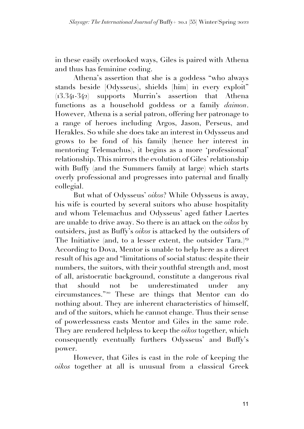in these easily overlooked ways, Giles is paired with Athena and thus has feminine coding.

Athena's assertion that she is a goddess "who always stands beside [Odysseus], shields [him] in every exploit" (13.341-342) supports Murrin's assertion that Athena functions as a household goddess or a family *daimon*. However, Athena is a serial patron, offering her patronage to a range of heroes including Argos, Jason, Perseus, and Herakles. So while she does take an interest in Odysseus and grows to be fond of his family (hence her interest in mentoring Telemachus), it begins as a more 'professional' relationship. This mirrors the evolution of Giles' relationship with Buffy (and the Summers family at large) which starts overly professional and progresses into paternal and finally collegial.

But what of Odysseus' *oikos*? While Odysseus is away, his wife is courted by several suitors who abuse hospitality and whom Telemachus and Odysseus' aged father Laertes are unable to drive away. So there is an attack on the *oikos* by outsiders, just as Buffy's *oikos* is attacked by the outsiders of The Initiative (and, to a lesser extent, the outsider Tara.)<sup>19</sup> According to Dova, Mentor is unable to help here as a direct result of his age and "limitations of social status: despite their numbers, the suitors, with their youthful strength and, most of all, aristocratic background, constitute a dangerous rival that should not be underestimated under any circumstances."<sup>20</sup> These are things that Mentor can do nothing about. They are inherent characteristics of himself, and of the suitors, which he cannot change. Thus their sense of powerlessness casts Mentor and Giles in the same role. They are rendered helpless to keep the *oikos* together, which consequently eventually furthers Odysseus' and Buffy's power.

However, that Giles is cast in the role of keeping the *oikos* together at all is unusual from a classical Greek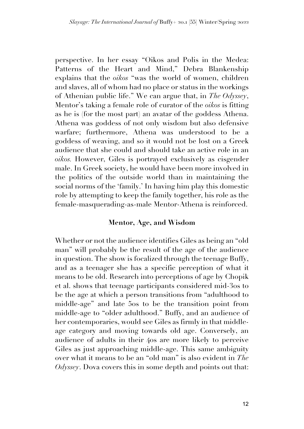perspective. In her essay "Oikos and Polis in the Medea: Patterns of the Heart and Mind," Debra Blankenship explains that the *oikos* "was the world of women, children and slaves, all of whom had no place or status in the workings of Athenian public life." We can argue that, in *The Odyssey*, Mentor's taking a female role of curator of the *oikos* is fitting as he is (for the most part) an avatar of the goddess Athena. Athena was goddess of not only wisdom but also defensive warfare; furthermore, Athena was understood to be a goddess of weaving, and so it would not be lost on a Greek audience that she could and should take an active role in an *oikos.* However, Giles is portrayed exclusively as cisgender male. In Greek society, he would have been more involved in the politics of the outside world than in maintaining the social norms of the 'family.' In having him play this domestic role by attempting to keep the family together, his role as the female-masquerading-as-male Mentor-Athena is reinforced.

### **Mentor, Age, and Wisdom**

Whether or not the audience identifies Giles as being an "old man" will probably be the result of the age of the audience in question. The show is focalized through the teenage Buffy, and as a teenager she has a specific perception of what it means to be old. Research into perceptions of age by Chopik et al. shows that teenage participants considered mid-30s to be the age at which a person transitions from "adulthood to middle-age" and late 50s to be the transition point from middle-age to "older adulthood." Buffy, and an audience of her contemporaries, would see Giles as firmly in that middleage category and moving towards old age. Conversely, an audience of adults in their 40s are more likely to perceive Giles as just approaching middle-age. This same ambiguity over what it means to be an "old man" is also evident in *The Odyssey*. Dova covers this in some depth and points out that: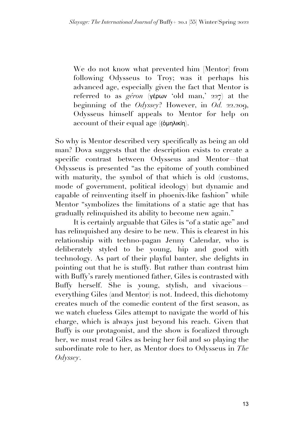We do not know what prevented him [Mentor] from following Odysseus to Troy; was it perhaps his advanced age, especially given the fact that Mentor is referred to as *géron* (γέρων 'old man,' 227) at the beginning of the *Odyssey*? However, in *Od.* 22.209, Odysseus himself appeals to Mentor for help on account of their equal age ((ὁμηλικίη).

So why is Mentor described very specifically as being an old man? Dova suggests that the description exists to create a specific contrast between Odysseus and Mentor—that Odysseus is presented "as the epitome of youth combined with maturity, the symbol of that which is old (customs, mode of government, political ideology) but dynamic and capable of reinventing itself in phoenix-like fashion" while Mentor "symbolizes the limitations of a static age that has gradually relinquished its ability to become new again."

It is certainly arguable that Giles is "of a static age" and has relinquished any desire to be new. This is clearest in his relationship with techno-pagan Jenny Calendar, who is deliberately styled to be young, hip and good with technology. As part of their playful banter, she delights in pointing out that he is stuffy. But rather than contrast him with Buffy's rarely mentioned father, Giles is contrasted with Buffy herself. She is young, stylish, and vivacious everything Giles (and Mentor) is not. Indeed, this dichotomy creates much of the comedic content of the first season, as we watch clueless Giles attempt to navigate the world of his charge, which is always just beyond his reach. Given that Buffy is our protagonist, and the show is focalized through her, we must read Giles as being her foil and so playing the subordinate role to her, as Mentor does to Odysseus in *The Odyssey*.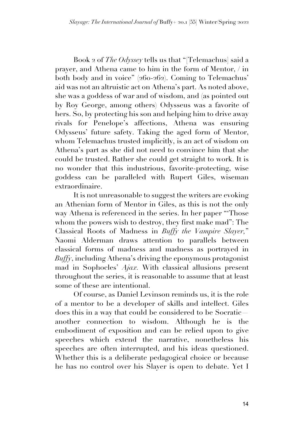Book 2 of *The Odyssey* tells us that "[Telemachus] said a prayer, and Athena came to him in the form of Mentor, / in both body and in voice" (260-262). Coming to Telemachus' aid was not an altruistic act on Athena's part. As noted above, she was a goddess of war and of wisdom, and (as pointed out by Roy George, among others) Odysseus was a favorite of hers. So, by protecting his son and helping him to drive away rivals for Penelope's affections, Athena was ensuring Odysseus' future safety. Taking the aged form of Mentor, whom Telemachus trusted implicitly, is an act of wisdom on Athena's part as she did not need to convince him that she could be trusted. Rather she could get straight to work. It is no wonder that this industrious, favorite-protecting, wise goddess can be paralleled with Rupert Giles, wiseman extraordinaire.

It is not unreasonable to suggest the writers are evoking an Athenian form of Mentor in Giles, as this is not the only way Athena is referenced in the series. In her paper "'Those whom the powers wish to destroy, they first make mad": The Classical Roots of Madness in *Buffy the Vampire Slayer,*" Naomi Alderman draws attention to parallels between classical forms of madness and madness as portrayed in *Buffy*, including Athena's driving the eponymous protagonist mad in Sophocles' *Ajax.* With classical allusions present throughout the series, it is reasonable to assume that at least some of these are intentional.

Of course, as Daniel Levinson reminds us, it is the role of a mentor to be a developer of skills and intellect. Giles does this in a way that could be considered to be Socratic another connection to wisdom. Although he is the embodiment of exposition and can be relied upon to give speeches which extend the narrative, nonetheless his speeches are often interrupted, and his ideas questioned. Whether this is a deliberate pedagogical choice or because he has no control over his Slayer is open to debate. Yet I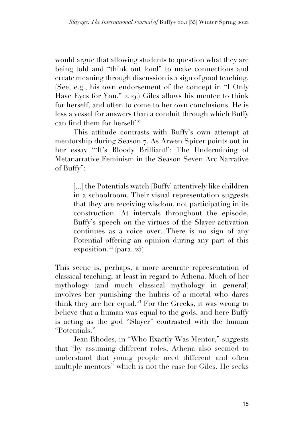would argue that allowing students to question what they are being told and "think out loud" to make connections and create meaning through discussion is a sign of good teaching. (See, e.g., his own endorsement of the concept in "I Only Have Eyes for You," 2.19.) Giles allows his mentee to think for herself, and often to come to her own conclusions. He is less a vessel for answers than a conduit through which Buffy can find them for herself.<sup>21</sup>

This attitude contrasts with Buffy's own attempt at mentorship during Season 7. As Arwen Spicer points out in her essay "'It's Bloody Brilliant!': The Undermining of Metanarrative Feminism in the Season Seven Arc Narrative of Buffy":

[...] the Potentials watch [Buffy] attentively like children in a schoolroom. Their visual representation suggests that they are receiving wisdom, not participating in its construction. At intervals throughout the episode, Buffy's speech on the virtues of the Slayer activation continues as a voice over. There is no sign of any Potential offering an opinion during any part of this exposition.<sup>22</sup> (para.  $25$ )

This scene is, perhaps, a more accurate representation of classical teaching, at least in regard to Athena. Much of her mythology (and much classical mythology in general) involves her punishing the hubris of a mortal who dares think they are her equal.<sup>23</sup> For the Greeks, it was wrong to believe that a human was equal to the gods, and here Buffy is acting as the god "Slayer" contrasted with the human "Potentials."

Jean Rhodes, in "Who Exactly Was Mentor," suggests that "by assuming different roles, Athena also seemed to understand that young people need different and often multiple mentors" which is not the case for Giles. He seeks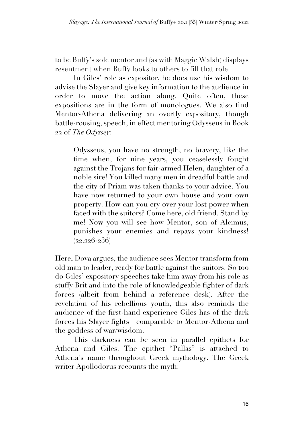to be Buffy's sole mentor and (as with Maggie Walsh) displays resentment when Buffy looks to others to fill that role.

In Giles' role as expositor, he does use his wisdom to advise the Slayer and give key information to the audience in order to move the action along. Quite often, these expositions are in the form of monologues. We also find Mentor-Athena delivering an overtly expository, though battle-rousing, speech, in effect mentoring Odysseus in Book 22 of *The Odyssey*:

Odysseus, you have no strength, no bravery, like the time when, for nine years, you ceaselessly fought against the Trojans for fair-armed Helen, daughter of a noble sire! You killed many men in dreadful battle and the city of Priam was taken thanks to your advice. You have now returned to your own house and your own property. How can you cry over your lost power when faced with the suitors? Come here, old friend. Stand by me! Now you will see how Mentor, son of Alcimus, punishes your enemies and repays your kindness!  $(22.226-236)$ 

Here, Dova argues, the audience sees Mentor transform from old man to leader, ready for battle against the suitors. So too do Giles' expository speeches take him away from his role as stuffy Brit and into the role of knowledgeable fighter of dark forces (albeit from behind a reference desk). After the revelation of his rebellious youth, this also reminds the audience of the first-hand experience Giles has of the dark forces his Slayer fights—comparable to Mentor-Athena and the goddess of war/wisdom.

This darkness can be seen in parallel epithets for Athena and Giles. The epithet "Pallas" is attached to Athena's name throughout Greek mythology. The Greek writer Apollodorus recounts the myth: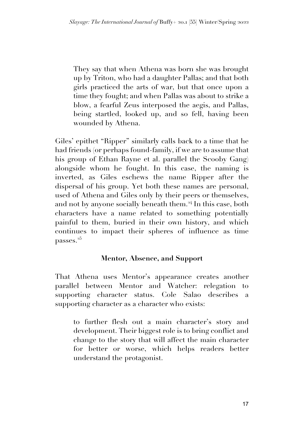They say that when Athena was born she was brought up by Triton, who had a daughter Pallas; and that both girls practiced the arts of war, but that once upon a time they fought; and when Pallas was about to strike a blow, a fearful Zeus interposed the aegis, and Pallas, being startled, looked up, and so fell, having been wounded by Athena.

Giles' epithet "Ripper" similarly calls back to a time that he had friends (or perhaps found-family, if we are to assume that his group of Ethan Rayne et al. parallel the Scooby Gang) alongside whom he fought. In this case, the naming is inverted, as Giles eschews the name Ripper after the dispersal of his group. Yet both these names are personal, used of Athena and Giles only by their peers or themselves, and not by anyone socially beneath them.<sup>24</sup> In this case, both characters have a name related to something potentially painful to them, buried in their own history, and which continues to impact their spheres of influence as time passes.<sup>25</sup>

## **Mentor, Absence, and Support**

That Athena uses Mentor's appearance creates another parallel between Mentor and Watcher: relegation to supporting character status. Cole Salao describes a supporting character as a character who exists:

to further flesh out a main character's story and development. Their biggest role is to bring conflict and change to the story that will affect the main character for better or worse, which helps readers better understand the protagonist.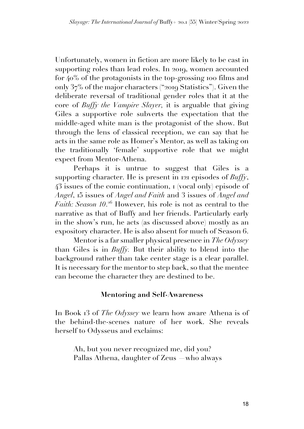Unfortunately, women in fiction are more likely to be cast in supporting roles than lead roles. In 2019, women accounted for 40% of the protagonists in the top-grossing 100 films and only 37% of the major characters ("2019 Statistics"). Given the deliberate reversal of traditional gender roles that it at the core of *Buffy the Vampire Slayer,* it is arguable that giving Giles a supportive role subverts the expectation that the middle-aged white man is the protagonist of the show. But through the lens of classical reception, we can say that he acts in the same role as Homer's Mentor, as well as taking on the traditionally 'female' supportive role that we might expect from Mentor-Athena.

Perhaps it is untrue to suggest that Giles is a supporting character. He is present in 121 episodes of *Buffy*, 43 issues of the comic continuation, 1 (vocal only) episode of *Angel*, 15 issues of *Angel and Faith* and 3 issues of *Angel and Faith: Season 10*. <sup>26</sup> However, his role is not as central to the narrative as that of Buffy and her friends. Particularly early in the show's run, he acts (as discussed above) mostly as an expository character. He is also absent for much of Season 6.

Mentor is a far smaller physical presence in *The Odyssey*  than Giles is in *Buffy.* But their ability to blend into the background rather than take center stage is a clear parallel. It is necessary for the mentor to step back, so that the mentee can become the character they are destined to be.

## **Mentoring and Self-Awareness**

In Book 13 of *The Odyssey* we learn how aware Athena is of the behind-the-scenes nature of her work. She reveals herself to Odysseus and exclaims:

Ah, but you never recognized me, did you? Pallas Athena, daughter of Zeus —who always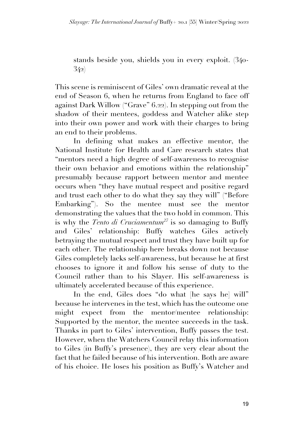stands beside you, shields you in every exploit. (340- 342)

This scene is reminiscent of Giles' own dramatic reveal at the end of Season 6, when he returns from England to face off against Dark Willow ("Grave" 6.22). In stepping out from the shadow of their mentees, goddess and Watcher alike step into their own power and work with their charges to bring an end to their problems.

In defining what makes an effective mentor, the National Institute for Health and Care research states that "mentors need a high degree of self-awareness to recognise their own behavior and emotions within the relationship" presumably because rapport between mentor and mentee occurs when "they have mutual respect and positive regard and trust each other to do what they say they will" ("Before Embarking"). So the mentee must see the mentor demonstrating the values that the two hold in common. This is why the *Tento di Cruciamentum27* is so damaging to Buffy and Giles' relationship: Buffy watches Giles actively betraying the mutual respect and trust they have built up for each other. The relationship here breaks down not because Giles completely lacks self-awareness, but because he at first chooses to ignore it and follow his sense of duty to the Council rather than to his Slayer. His self-awareness is ultimately accelerated because of this experience.

In the end, Giles does "do what [he says he] will" because he intervenes in the test, which has the outcome one might expect from the mentor/mentee relationship: Supported by the mentor, the mentee succeeds in the task. Thanks in part to Giles' intervention, Buffy passes the test. However, when the Watchers Council relay this information to Giles (in Buffy's presence), they are very clear about the fact that he failed because of his intervention. Both are aware of his choice. He loses his position as Buffy's Watcher and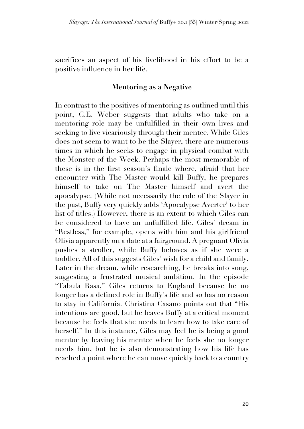sacrifices an aspect of his livelihood in his effort to be a positive influence in her life.

## **Mentoring as a Negative**

In contrast to the positives of mentoring as outlined until this point, C.E. Weber suggests that adults who take on a mentoring role may be unfulfilled in their own lives and seeking to live vicariously through their mentee. While Giles does not seem to want to be the Slayer, there are numerous times in which he seeks to engage in physical combat with the Monster of the Week. Perhaps the most memorable of these is in the first season's finale where, afraid that her encounter with The Master would kill Buffy, he prepares himself to take on The Master himself and avert the apocalypse. (While not necessarily the role of the Slayer in the past, Buffy very quickly adds 'Apocalypse Averter' to her list of titles.) However, there is an extent to which Giles can be considered to have an unfulfilled life. Giles' dream in "Restless," for example, opens with him and his girlfriend Olivia apparently on a date at a fairground. A pregnant Olivia pushes a stroller, while Buffy behaves as if she were a toddler. All of this suggests Giles' wish for a child and family. Later in the dream, while researching, he breaks into song, suggesting a frustrated musical ambition. In the episode "Tabula Rasa," Giles returns to England because he no longer has a defined role in Buffy's life and so has no reason to stay in California. Christina Casano points out that "His intentions are good, but he leaves Buffy at a critical moment because he feels that she needs to learn how to take care of herself." In this instance, Giles may feel he is being a good mentor by leaving his mentee when he feels she no longer needs him, but he is also demonstrating how his life has reached a point where he can move quickly back to a country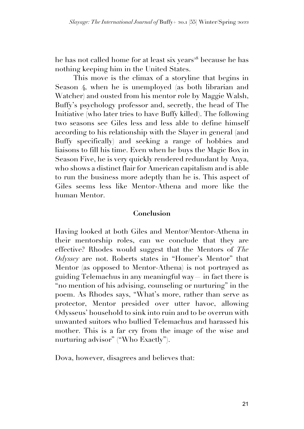he has not called home for at least six years<sup>28</sup> because he has nothing keeping him in the United States.

This move is the climax of a storyline that begins in Season 4, when he is unemployed (as both librarian and Watcher) and ousted from his mentor role by Maggie Walsh, Buffy's psychology professor and, secretly, the head of The Initiative (who later tries to have Buffy killed). The following two seasons see Giles less and less able to define himself according to his relationship with the Slayer in general (and Buffy specifically) and seeking a range of hobbies and liaisons to fill his time. Even when he buys the Magic Box in Season Five, he is very quickly rendered redundant by Anya, who shows a distinct flair for American capitalism and is able to run the business more adeptly than he is. This aspect of Giles seems less like Mentor-Athena and more like the human Mentor.

## **Conclusion**

Having looked at both Giles and Mentor/Mentor-Athena in their mentorship roles, can we conclude that they are effective? Rhodes would suggest that the Mentors of *The Odyssey* are not. Roberts states in "Homer's Mentor" that Mentor (as opposed to Mentor-Athena) is not portrayed as guiding Telemachus in any meaningful way— in fact there is "no mention of his advising, counseling or nurturing" in the poem. As Rhodes says, "What's more, rather than serve as protector, Mentor presided over utter havoc, allowing Odysseus' household to sink into ruin and to be overrun with unwanted suitors who bullied Telemachus and harassed his mother. This is a far cry from the image of the wise and nurturing advisor" ("Who Exactly").

Dova, however, disagrees and believes that: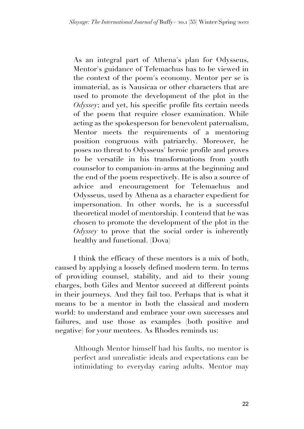As an integral part of Athena's plan for Odysseus, Mentor's guidance of Telemachus has to be viewed in the context of the poem's economy. Mentor per se is immaterial, as is Nausicaa or other characters that are used to promote the development of the plot in the *Odyssey*; and yet, his specific profile fits certain needs of the poem that require closer examination. While acting as the spokesperson for benevolent paternalism, Mentor meets the requirements of a mentoring position congruous with patriarchy. Moreover, he poses no threat to Odysseus' heroic profile and proves to be versatile in his transformations from youth counselor to companion-in-arms at the beginning and the end of the poem respectively. He is also a source of advice and encouragement for Telemachus and Odysseus, used by Athena as a character expedient for impersonation. In other words, he is a successful theoretical model of mentorship. I contend that he was chosen to promote the development of the plot in the *Odyssey* to prove that the social order is inherently healthy and functional. (Dova)

I think the efficacy of these mentors is a mix of both, caused by applying a loosely defined modern term. In terms of providing counsel, stability, and aid to their young charges, both Giles and Mentor succeed at different points in their journeys. And they fail too. Perhaps that is what it means to be a mentor in both the classical and modern world: to understand and embrace your own successes and failures, and use those as examples (both positive and negative) for your mentees. As Rhodes reminds us:

Although Mentor himself had his faults, no mentor is perfect and unrealistic ideals and expectations can be intimidating to everyday caring adults. Mentor may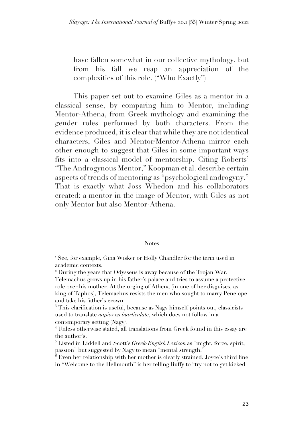have fallen somewhat in our collective mythology, but from his fall we reap an appreciation of the complexities of this role. ("Who Exactly")

This paper set out to examine Giles as a mentor in a classical sense, by comparing him to Mentor, including Mentor-Athena, from Greek mythology and examining the gender roles performed by both characters. From the evidence produced, it is clear that while they are not identical characters, Giles and Mentor/Mentor-Athena mirror each other enough to suggest that Giles in some important ways fits into a classical model of mentorship. Citing Roberts' "The Androgynous Mentor," Koopman et al. describe certain aspects of trends of mentoring as "psychological androgyny." That is exactly what Joss Whedon and his collaborators created: a mentor in the image of Mentor, with Giles as not only Mentor but also Mentor-Athena.

#### **Notes**

<sup>&</sup>lt;sup>1</sup> See, for example, Gina Wisker or Holly Chandler for the term used in academic contexts.

<sup>2</sup> During the years that Odysseus is away because of the Trojan War, Telemachus grows up in his father's palace and tries to assume a protective role over his mother. At the urging of Athena (in one of her disguises, as king of Taphos), Telemachus resists the men who sought to marry Penelope and take his father's crown.

<sup>&</sup>lt;sup>3</sup> This clarification is useful, because as Nagy himself points out, classicists used to translate *napios* as *inarticulate*, which does not follow in a contemporary setting (Nagy*).*

<sup>4</sup> Unless otherwise stated, all translations from Greek found in this essay are the author's.

<sup>5</sup> Listed in Liddell and Scott's *Greek-English Lexicon* as "might, force, spirit, passion" but suggested by Nagy to mean "mental strength."

<sup>6</sup> Even her relationship with her mother is clearly strained. Joyce's third line in "Welcome to the Hellmouth" is her telling Buffy to "try not to get kicked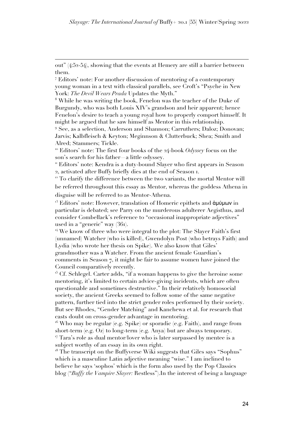out" (4:52-54), showing that the events at Hemery are still a barrier between them.

<sup>7</sup> Editors' note: For another discussion of mentoring of a contemporary young woman in a text with classical parallels, see Croft's "Psyche in New York: *The Devil Wears Prada* Updates the Myth."

<sup>8</sup> While he was writing the book, Fenelon was the teacher of the Duke of Burgundy, who was both Louis XIV's grandson and heir apparent; hence Fenelon's desire to teach a young royal how to properly comport himself. It might be argued that he saw himself as Mentor in this relationship.

<sup>9</sup> See, as a selection, Anderson and Shannon; Carruthers; Daloz; Donovan; Jarvis; Kalbfleisch & Keyton; Meginnson & Clutterbuck; Shea; Smith and Alred; Stammers; Tickle.

<sup>10</sup> Editors' note: The first four books of the 24-book *Odyssey* focus on the son's search for his father—a little odyssey.

<sup>11</sup> Editors' note: Kendra is a duty-bound Slayer who first appears in Season 2, activated after Buffy briefly dies at the end of Season 1.

<sup>12</sup> To clarify the difference between the two variants, the mortal Mentor will be referred throughout this essay as Mentor, whereas the goddess Athena in disguise will be referred to as Mentor-Athena.

<sup>13</sup> Editors' note: However, translation of Homeric epithets and **άμύμων** in particular is debated; see Parry on the murderous adulterer Aegisthus, and consider Combellack's reference to "occasional inappropriate adjectives" used in a "generic" way (361).

 $14$  We know of three who were integral to the plot: The Slayer Faith's first (unnamed) Watcher (who is killed), Gwendolyn Post (who betrays Faith) and Lydia (who wrote her thesis on Spike). We also know that Giles' grandmother was a Watcher. From the ancient female Guardian's comments in Season 7, it might be fair to assume women have joined the Council comparatively recently.

 $15$  Cf. Schlegel. Carter adds, "if a woman happens to give the heroine some mentoring, it's limited to certain advice-giving incidents, which are often questionable and sometimes destructive." In their relatively homosocial society, the ancient Greeks seemed to follow some of the same negative pattern, further tied into the strict gender roles performed by their society. But see Rhodes, "Gender Matching" and Kanchewa et al. for research that casts doubt on cross-gender advantage in mentoring.

<sup>16</sup> Who may be regular (e.g. Spike) or sporadic (e.g. Faith), and range from short-term (e.g. Oz) to long-term (e.g. Anya) but are always temporary. <sup>17</sup> Tara's role as dual mentor/lover who is later surpassed by mentee is a subject worthy of an essay in its own right.

<sup>18</sup> The transcript on the Buffyverse Wiki suggests that Giles says "Sophus" which is a masculine Latin adjective meaning "wise." I am inclined to believe he says 'sophos' which is the form also used by the Pop Classics blog ("*Buffy the Vampire Slayer:* Restless").In the interest of being a language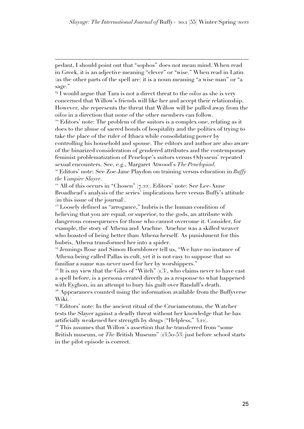pedant, I should point out that "sophos" does not mean mind. When read in Greek, it is an adjective meaning "clever" or "wise." When read in Latin (as the other parts of the spell are) it is a noun meaning "a wise man" or "a sage."

<sup>19</sup> I would argue that Tara is not a direct threat to the *oikos* as she is very concerned that Willow's friends will like her and accept their relationship. However, she represents the threat that Willow will be pulled away from the *oikos* in a direction that none of the other members can follow.

<sup>20</sup> Editors' note: The problem of the suitors is a complex one, relating as it does to the abuse of sacred bonds of hospitality and the politics of trying to take the place of the ruler of Ithaca while consolidating power by controlling his household and spouse. The editors and author are also aware of the binarized consideration of gendered attributes and the contemporary feminist problematization of Penelope's suitors versus Odysseus' repeated sexual encounters. See, e.g., Margaret Atwood's *The Penelopiad*.

<sup>21</sup> Editors' note: See Zoe-Jane Playdon on training versus education in *Buffy the Vampire Slayer*.

 $22$  All of this occurs in "Chosen" (7.22). Editors' note: See Lee-Anne Broadhead's analysis of the series' implications here versus Buffy's attitude (in this issue of the journal).

 $23$  Loosely defined as "arrogance," hubris is the human condition of believing that you are equal, or superior, to the gods, an attribute with dangerous consequences for those who cannot overcome it. Consider, for example, the story of Athena and Arachne. Arachne was a skilled weaver who boasted of being better than Athena herself. As punishment for this hubris, Athena transformed her into a spider.

<sup>24</sup> Jennings Rose and Simon Hornblower tell us, "We have no instance of Athena being called Pallas in cult, yet it is not easy to suppose that so familiar a name was never used for her by worshippers."

 $25$  It is my view that the Giles of "Witch" (1.3), who claims never to have cast a spell before, is a persona created directly as a response to what happened with Eyghon, in an attempt to bury his guilt over Randall's death.

<sup>26</sup> Appearances counted using the information available from the Buffyverse Wiki.

<sup>27</sup> Editors' note: In the ancient ritual of the Cruciamentum, the Watcher tests the Slayer against a deadly threat without her knowledge that he has artificially weakened her strength by drugs ("Helpless," 3.12).

<sup>28</sup> This assumes that Willow's assertion that he transferred from "some British museum, or *The* British Museum" (13:50-53) just before school starts in the pilot episode is correct.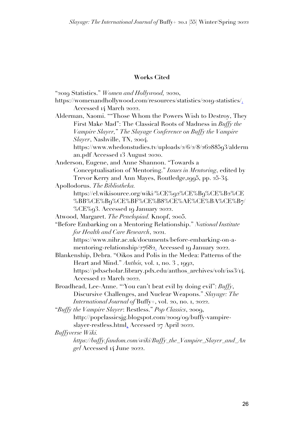### **Works Cited**

- "2019 Statistics." *Women and Hollywood,* 2020,
- https://womenandhollywood.com/resources/statistics/2019-statistics/. Accessed 14 March 2022.
- Alderman, Naomi. ""Those Whom the Powers Wish to Destroy, They First Make Mad": The Classical Roots of Madness in *Buffy the Vampire Slayer,*" *The Slayage Conference on Buffy the Vampire Slayer*, Nashville, TN, 2004.
	- https://www.whedonstudies.tv/uploads/2/6/2/8/26288593/alderm an.pdf Accessed 13 August 2020.
- Anderson, Eugene, and Anne Shannon. "Towards a Conceptualisation of Mentoring." *Issues in Mentoring*, edited by Trevor Kerry and Ann Mayes, Routledge,1995, pp. 25-34.
- Apollodorus. *The Bibliotheka.* 
	- https://el.wikisource.org/wiki/%CE%92%CE%B9%CE%B2%CE %BB%CE%B9%CE%BF%CE%B8%CE%AE%CE%BA%CE%B7/ %CE%93. Accessed 19 January 2022.
- Atwood, Margaret. *The Penelopiad.* Knopf, 2005.
- "Before Embarking on a Mentoring Relationship." *National Institute for Health and Care Research*, 2021.

https://www.nihr.ac.uk/documents/before-embarking-on-amentoring-relationship/27682. Accessed 19 January 2022.

- Blankenship, Debra. "Oikos and Polis in the Medea: Patterns of the Heart and Mind." Anthós, vol. 1, no. 3, 1992, https://pdxscholar.library.pdx.edu/anthos\_archives/vol1/iss3/14. Accessed 12 March 2022.
- Broadhead, Lee-Anne. "'You can't beat evil by doing evil": *Buffy*, Discursive Challenges, and Nuclear Weapons." *Slayage: The International Journal of* Buffy+, vol. 20, no. 1, 2022.
- "*Buffy the Vampire Slayer*: Restless." *Pop Classics*, 2009, http://popclassicsjg.blogspot.com/2009/09/buffy-vampireslayer-restless.html. Accessed 27 April 2022.

*Buffyverse Wiki.* 

*https://buffy.fandom.com/wiki/Buffy\_the\_Vampire\_Slayer\_and\_An gel* Accessed 14 June 2022.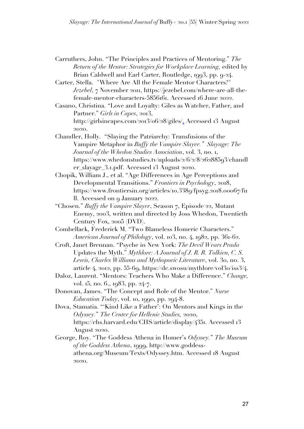- Carruthers, John. "The Principles and Practices of Mentoring." *The Return of the Mentor: Strategies for Workplace Learning,* edited by Brian Caldwell and Earl Carter, Routledge, 1993, pp. 9-24.
- Carter, Stella. "Where Are All the Female Mentor Characters?" *Jezebel*, 7 November 2011, https://jezebel.com/where-are-all-thefemale-mentor-characters-5856161. Accessed 16 June 2022.
- Casano, Christina. "Love and Loyalty: Giles as Watcher, Father, and Partner." *Girls in Capes*, 2013, http://girlsincapes.com/2013/06/28/giles/. Accessed 13 August 2020.
- Chandler, Holly. "Slaying the Patriarchy: Transfusions of the Vampire Metaphor in *Buffy the Vampire Slayer." Slayage: The Journal of the Whedon Studies Association*, vol. 3, no. 1, https://www.whedonstudies.tv/uploads/2/6/2/8/26288593/chandl er\_slayage\_3.1.pdf. Accessed 13 August 2020.
- Chopik, William J., et al. "Age Differences in Age Perceptions and Developmental Transitions." *Frontiers in Psychology*, 2018, https://www.frontiersin.org/articles/10.3389/fpsyg.2018.00067/fu ll. Accessed on 9 January 2022.
- "Chosen." *Buffy the Vampire Slayer*, Season 7, Episode 22, Mutant Enemy, 2003, written and directed by Joss Whedon, Twentieth Century Fox, 2005 (DVD).
- Combellack, Frederick M. "Two Blameless Homeric Characters." *American Journal of Philology*, vol. 103, no. 4, 1982, pp. 361-62.
- Croft, Janet Brennan. "Psyche in New York: *The Devil Wears Prada*  Updates the Myth." *Mythlore: A Journal of J. R. R. Tolkien, C. S. Lewis, Charles Williams and Mythopoeic Literature*, vol. 30, no. 3, article 4, 2012, pp. 55-69, https://dc.swosu/mythlore/vol30/iss3/4.
- Daloz, Laurent. "Mentors: Teachers Who Make a Difference." *Change,*  vol. 15, no. 6., 1983, pp. 24-7.
- Donovan, James. "The Concept and Role of the Mentor." *Nurse Education Today*, vol. 10, 1990, pp. 294-8.
- Dova, Stamatia. "'Kind Like a Father': On Mentors and Kings in the *Odyssey.*" *The Center for Hellenic Studies,* 2020, https://chs.harvard.edu/CHS/article/display/4351. Accessed 13 August 2020.
- George, Roy. "The Goddess Athena in Homer's *Odyssey.*" *The Museum of the Goddess Athena*, 1999, http://www.goddessathena.org/Museum/Texts/Odyssey.htm. Accessed 18 August 2020.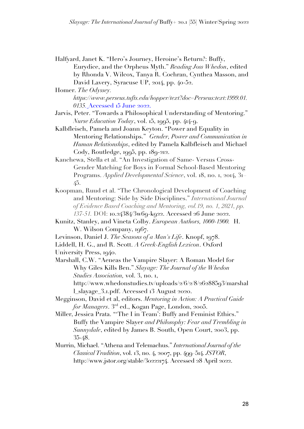Halfyard, Janet K. "Hero's Journey, Heroine's Return?: Buffy, Eurydice, and the Orpheus Myth." *Reading Joss Whedon*, edited by Rhonda V. Wilcox, Tanya R. Cochran, Cynthea Masson, and David Lavery, Syracuse UP, 2014, pp. 40-52.

Homer. *The Odyssey. https://www.perseus.tufts.edu/hopper/text?doc=Perseus:text:1999.01. 0135.* Accessed 15 June 2022.

Jarvis, Peter. "Towards a Philosophical Understanding of Mentoring." *Nurse Education Today*, vol. 15, 1995, pp. 414-9.

Kalbfleisch, Pamela and Joann Keyton. "Power and Equality in Mentoring Relationships." *Gender, Power and Communication in Human Relationships*, edited by Pamela Kalbfleisch and Michael Cody, Routledge, 1995, pp. 189-212.

- Kanchewa, Stella et al. "An Investigation of Same- Versus Cross-Gender Matching for Boys in Formal School-Based Mentoring Programs. *Applied Developmental Science*, vol. 18, no. 1, 2014, 31– 45.
- Koopman, Ruud et al. "The Chronological Development of Coaching and Mentoring: Side by Side Disciplines." *International Journal of Evidence Based Coaching and Mentoring, vol.19, no. 1, 2021, pp. 137-51.* DOI: 10.24384/3w69-k922. Accessed 26 June 2022.
- Kunitz, Stanley, and Vineta Colby. *European Authors, 1000-1900.* H. W. Wilson Company, 1967.
- Levinson, Daniel J. *The Seasons of a Man's Life*. Knopf, 1978.
- Liddell, H. G., and R. Scott. *A Greek-English Lexicon*. Oxford University Press, 1940.
- Marshall, C.W. "Aeneas the Vampire Slayer: A Roman Model for Why Giles Kills Ben." *Slayage: The Journal of the Whedon Studies Association,* vol. 3, no. 1, http://www.whedonstudies.tv/uploads/2/6/2/8/26288593/marshal

l\_slayage\_3.1.pdf. Accessed 13 August 2020.

- Megginson, David et al, editors. *Mentoring in Action: A Practical Guide for Managers*. 3rd ed., Kogan Page, London, 2005.
- Miller, Jessica Prata. "'The I in Team': Buffy and Feminist Ethics." Buffy the Vampire Slayer *and Philosophy: Fear and Trembling in Sunnydale*, edited by James B. South, Open Court, 2003, pp. 35-48.
- Murrin, Michael. "Athena and Telemachus." *International Journal of the Classical Tradition*, vol. 13, no. 4, 2007, pp. 499–514. *JSTOR*, http://www.jstor.org/stable/30222174. Accessed 28 April 2022.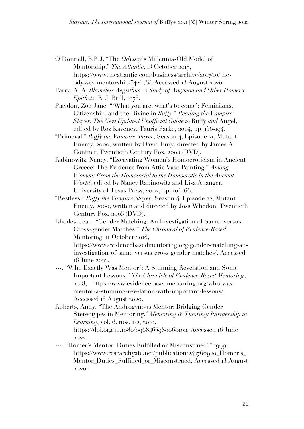- O'Donnell, B.R.J. "The *Odyssey*'s Millennia-Old Model of Mentorship." *The Atlantic*, 13 October 2017, https://www.theatlantic.com/business/archive/2017/10/theodyssey-mentorship/542676/. Accessed 13 August 2020.
- Parry, A. A. *Blameless Aegisthus: A Study of Amymon and Other Homeric Epithets*. E. J. Brill, 1973.
- Playdon, Zoe-Jane. "'What you are, what's to come': Feminisms, Citizenship, and the Divine in *Buffy*." *Reading the Vampire Slayer: The New Updated Unofficial Guide to* Buffy *and* Angel, edited by Roz Kaveney, Tauris Parke, 2004, pp. 156-194.
- "Primeval." *Buffy the Vampire Slayer*, Season 4, Episode 21, Mutant Enemy, 2000, written by David Fury, directed by James A. Contner, Twentieth Century Fox, 2005 (DVD).
- Rabinowitz, Nancy. "Excavating Women's Homoeroticism in Ancient Greece: The Evidence from Attic Vase Painting." *Among Women: From the Homosocial to the Homoerotic in the Ancient World*, edited by Nancy Rabinowitz and Lisa Auanger, University of Texas Press, 2002, pp. 106-66.
- "Restless." *Buffy the Vampire Slayer*, Season 4, Episode 22, Mutant Enemy, 2000, written and directed by Joss Whedon, Twentieth Century Fox, 2005 (DVD).
- Rhodes, Jean. "Gender Matching: An Investigation of Same- versus Cross-gender Matches." *The Chronical of Evidence-Based*  Mentoring,  $\pi$  October 2018,
	- https://www.evidencebasedmentoring.org/gender-matching-aninvestigation-of-same-versus-cross-gender-matches/. Accessed 16 June 2022.
- ---. "Who Exactly Was Mentor?: A Stunning Revelation and Some Important Lessons." *The Chronicle of Evidence-Based Mentoring*, 2018, https://www.evidencebasedmentoring.org/who-wasmentor-a-stunning-revelation-with-important-lessons/. Accessed 13 August 2020.
- Roberts, Andy. "The Androgynous Mentor: Bridging Gender Stereotypes in Mentoring." *Mentoring & Tutoring: Partnership in Learning*, vol. 6, nos. 1-2, 2010, https://doi.org/10.1080/0968465980060102. Accessed 16 June 2022.
- ---. "Homer's Mentor: Duties Fulfilled or Misconstrued?" 1999, https://www.researchgate.net/publication/242760920\_Homer's\_ Mentor\_Duties\_Fulfilled\_or\_Misconstrued, Accessed 13 August 2020.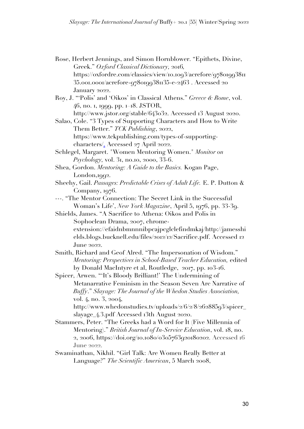- Rose, Herbert Jennings, and Simon Hornblower. "Epithets, Divine, Greek." *Oxford Classical Dictionary,* 2016*,*  https://oxfordre.com/classics/view/10.1093/acrefore/97801993811 35.001.0001/acrefore-9780199381135-e-2463 . Accessed 20 January 2022.
- Roy, J. "'Polis' and 'Oikos' in Classical Athens." *Greece & Rome*, vol. 46, no. 1, 1999, pp. 1–18. JSTOR,

http://www.jstor.org/stable/643032. Accessed 13 August 2020.

Salao, Cole. "3 Types of Supporting Characters and How to Write Them Better." *TCK Publishing*, 2022, https://www.tckpublishing.com/types-of-supportingcharacters/. Accessed 27 April 2022.

- Schlegel, Margaret. "Women Mentoring Women." *Monitor on Psychology,* vol. 31, no.10, 2000, 33-6.
- Shea, Gordon. *Mentoring: A Guide to the Basics.* Kogan Page, London,1992.
- Sheehy, Gail. *Passages: Predictable Crises of Adult Life.* E. P. Dutton & Company, 1976.

---. "The Mentor Connection: The Secret Link in the Successful Woman's Life', *New York Magazine*, April 5, 1976, pp. 33-39.

- Shields, James. "A Sacrifice to Athena: Oikos and Polis in Sophoclean Drama, 2007, chromeextension://efaidnbmnnnibpcajpcglclefindmkaj/http://jamesshi elds.blogs.bucknell.edu/files/2012/12/Sacrifice.pdf. Accessed 12 June 2022.
- Smith, Richard and Geof Alred. "The Impersonation of Wisdom." *Mentoring: Perspectives in School-Based Teacher Education,* edited by Donald MacIntyre et al, Routledge, 2017, pp. 103-16.

Spicer, Arwen. "'It's Bloody Brilliant!' The Undermining of Metanarrative Feminism in the Season Seven Arc Narrative of *Buffy*." *Slayage: The Journal of the Whedon Studies Association,*  vol. 4, no. 3, 2004,

http://www.whedonstudies.tv/uploads/2/6/2/8/26288593/spicer\_ slayage\_4.3.pdf Accessed 13th August 2020.

- Stammers, Peter. "The Greeks had a Word for It (Five Millennia of Mentoring)." *British Journal of In-Service Education*, vol. 18, no. 2, 2006, https://doi.org/10.1080/0305763920180202. Accessed 16 June 2022.
- Swaminathan, Nikhil. "Girl Talk: Are Women Really Better at Language?" *The Scientific American*, 5 March 2008,